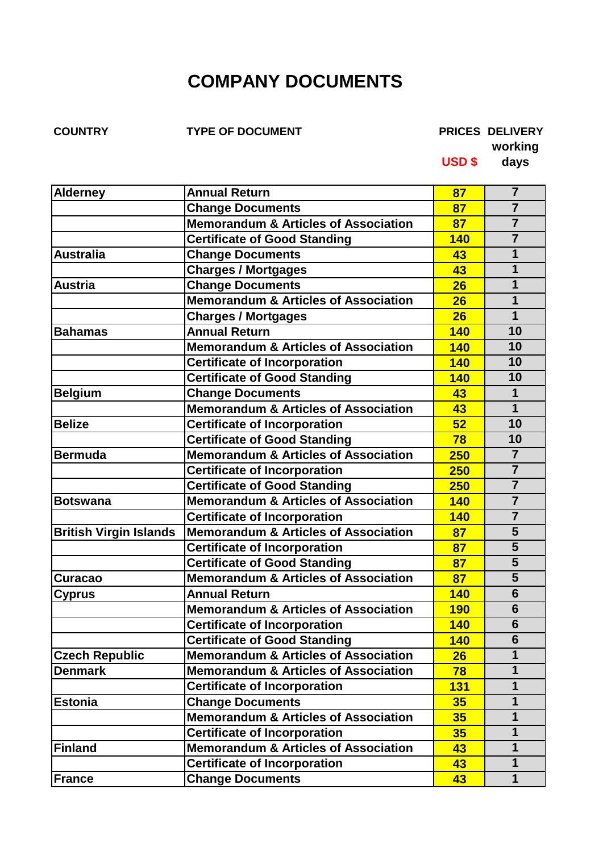## **COMPANY DOCUMENTS**

**COUNTRY TYPE OF DOCUMENT PRICES DELIVERY**

**working**

**USD \$ days**

| <b>Alderney</b>               | <b>Annual Return</b>                            | 87         | 7                       |
|-------------------------------|-------------------------------------------------|------------|-------------------------|
|                               | <b>Change Documents</b>                         | 87         | $\overline{7}$          |
|                               | <b>Memorandum &amp; Articles of Association</b> | 87         | $\overline{7}$          |
|                               | <b>Certificate of Good Standing</b>             | <b>140</b> | $\overline{7}$          |
| <b>Australia</b>              | <b>Change Documents</b>                         | 43         | 1                       |
|                               | <b>Charges / Mortgages</b>                      | 43         | $\mathbf 1$             |
| <b>Austria</b>                | <b>Change Documents</b>                         | 26         | $\mathbf 1$             |
|                               | <b>Memorandum &amp; Articles of Association</b> | 26         | 1                       |
|                               | <b>Charges / Mortgages</b>                      | 26         | $\mathbf 1$             |
| <b>Bahamas</b>                | <b>Annual Return</b>                            | <b>140</b> | 10                      |
|                               | <b>Memorandum &amp; Articles of Association</b> | <b>140</b> | 10                      |
|                               | <b>Certificate of Incorporation</b>             | <b>140</b> | 10                      |
|                               | <b>Certificate of Good Standing</b>             | <b>140</b> | 10                      |
| <b>Belgium</b>                | <b>Change Documents</b>                         | 43         | $\mathbf 1$             |
|                               | <b>Memorandum &amp; Articles of Association</b> | 43         | $\mathbf 1$             |
| <b>Belize</b>                 | <b>Certificate of Incorporation</b>             | 52         | 10                      |
|                               | <b>Certificate of Good Standing</b>             | 78         | 10                      |
| <b>Bermuda</b>                | <b>Memorandum &amp; Articles of Association</b> | <b>250</b> | $\overline{7}$          |
|                               | <b>Certificate of Incorporation</b>             | 250        | $\overline{7}$          |
|                               | <b>Certificate of Good Standing</b>             | 250        | $\overline{7}$          |
| <b>Botswana</b>               | <b>Memorandum &amp; Articles of Association</b> | <b>140</b> | $\overline{7}$          |
|                               | <b>Certificate of Incorporation</b>             | <b>140</b> | $\overline{7}$          |
| <b>British Virgin Islands</b> | <b>Memorandum &amp; Articles of Association</b> | 87         | 5                       |
|                               | <b>Certificate of Incorporation</b>             | 87         | 5                       |
|                               | <b>Certificate of Good Standing</b>             | 87         | $\overline{\mathbf{5}}$ |
| Curacao                       | <b>Memorandum &amp; Articles of Association</b> | 87         | 5                       |
| <b>Cyprus</b>                 | <b>Annual Return</b>                            | <b>140</b> | 6                       |
|                               | <b>Memorandum &amp; Articles of Association</b> | <b>190</b> | 6                       |
|                               | <b>Certificate of Incorporation</b>             | <b>140</b> | 6                       |
|                               | <b>Certificate of Good Standing</b>             | <b>140</b> | 6                       |
| <b>Czech Republic</b>         | <b>Memorandum &amp; Articles of Association</b> | 26         | 1                       |
| <b>Denmark</b>                | <b>Memorandum &amp; Articles of Association</b> | 78         | $\mathbf 1$             |
|                               | <b>Certificate of Incorporation</b>             | <b>131</b> | $\mathbf 1$             |
| <b>Estonia</b>                | <b>Change Documents</b>                         | 35         | $\mathbf 1$             |
|                               | Memorandum & Articles of Association            | 35         | $\mathbf 1$             |
|                               | <b>Certificate of Incorporation</b>             | 35         | $\mathbf 1$             |
| <b>Finland</b>                | <b>Memorandum &amp; Articles of Association</b> | 43         | $\mathbf 1$             |
|                               | <b>Certificate of Incorporation</b>             | 43         | $\mathbf 1$             |
| <b>France</b>                 | <b>Change Documents</b>                         | 43         | $\mathbf 1$             |
|                               |                                                 |            |                         |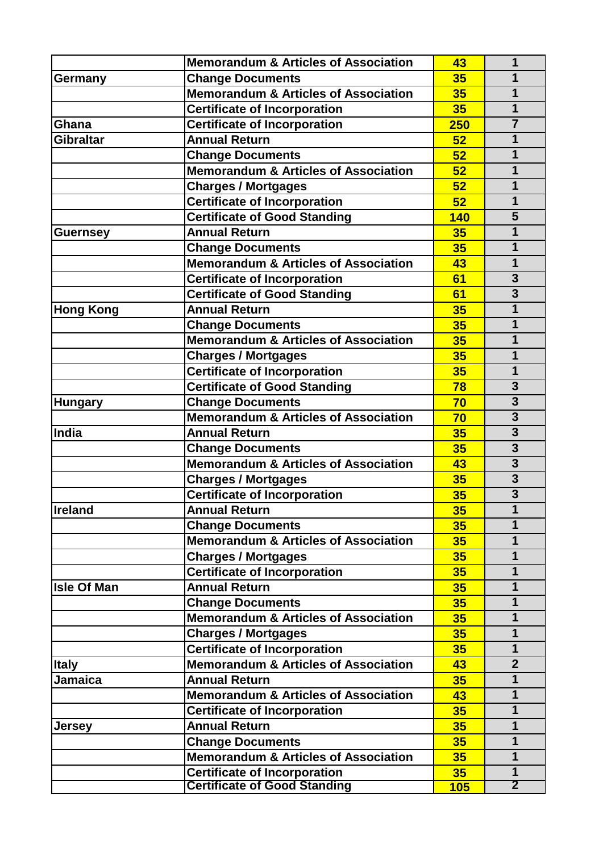|                    | <b>Memorandum &amp; Articles of Association</b> | 43              | 1                       |
|--------------------|-------------------------------------------------|-----------------|-------------------------|
| Germany            | <b>Change Documents</b>                         | 35              | 1                       |
|                    | <b>Memorandum &amp; Articles of Association</b> | 35              | 1                       |
|                    | <b>Certificate of Incorporation</b>             | 35              | $\overline{1}$          |
| Ghana              | <b>Certificate of Incorporation</b>             | 250             | $\overline{7}$          |
| <b>Gibraltar</b>   | <b>Annual Return</b>                            | 52              | 1                       |
|                    | <b>Change Documents</b>                         | 52              | $\mathbf 1$             |
|                    | <b>Memorandum &amp; Articles of Association</b> | 52              | 1                       |
|                    | <b>Charges / Mortgages</b>                      | 52              | 1                       |
|                    | <b>Certificate of Incorporation</b>             | 52              | $\mathbf 1$             |
|                    | <b>Certificate of Good Standing</b>             | <b>140</b>      | 5                       |
| <b>Guernsey</b>    | <b>Annual Return</b>                            | 35              | 1                       |
|                    | <b>Change Documents</b>                         | 35              | $\mathbf 1$             |
|                    | <b>Memorandum &amp; Articles of Association</b> | 43              | 1                       |
|                    | <b>Certificate of Incorporation</b>             | 61              | $\overline{\mathbf{3}}$ |
|                    | <b>Certificate of Good Standing</b>             | 61              | $\overline{3}$          |
| <b>Hong Kong</b>   | <b>Annual Return</b>                            | 35              | 1                       |
|                    | <b>Change Documents</b>                         | 35              | $\mathbf{1}$            |
|                    | <b>Memorandum &amp; Articles of Association</b> | 35              | 1                       |
|                    | <b>Charges / Mortgages</b>                      | 35              | 1                       |
|                    | <b>Certificate of Incorporation</b>             | 35              | 1                       |
|                    | <b>Certificate of Good Standing</b>             | 78              | $\overline{\mathbf{3}}$ |
| <b>Hungary</b>     | <b>Change Documents</b>                         | 70              | $\overline{\mathbf{3}}$ |
|                    | Memorandum & Articles of Association            | 70              | $\overline{\mathbf{3}}$ |
| India              | <b>Annual Return</b>                            | 35              | 3                       |
|                    | <b>Change Documents</b>                         | 35              | $\overline{\mathbf{3}}$ |
|                    | <b>Memorandum &amp; Articles of Association</b> | 43              | $\overline{3}$          |
|                    | <b>Charges / Mortgages</b>                      | 35              | $\overline{3}$          |
|                    | <b>Certificate of Incorporation</b>             | 35              | $\overline{3}$          |
| <b>Ireland</b>     | <b>Annual Return</b>                            | 35              | 1                       |
|                    | <b>Change Documents</b>                         | 35 <sub>2</sub> | 1                       |
|                    | <b>Memorandum &amp; Articles of Association</b> | 35              | $\mathbf 1$             |
|                    | <b>Charges / Mortgages</b>                      | 35              | $\mathbf 1$             |
|                    | <b>Certificate of Incorporation</b>             | 35              | $\mathbf 1$             |
| <b>Isle Of Man</b> | <b>Annual Return</b>                            | 35              | $\mathbf 1$             |
|                    | <b>Change Documents</b>                         | 35              | $\mathbf 1$             |
|                    | <b>Memorandum &amp; Articles of Association</b> | 35              | $\mathbf{1}$            |
|                    | <b>Charges / Mortgages</b>                      | 35              | $\mathbf 1$             |
|                    | <b>Certificate of Incorporation</b>             | 35              | $\mathbf 1$             |
| <b>Italy</b>       | <b>Memorandum &amp; Articles of Association</b> | 43              | $\overline{2}$          |
| <b>Jamaica</b>     | <b>Annual Return</b>                            | 35              | $\mathbf 1$             |
|                    | <b>Memorandum &amp; Articles of Association</b> | 43              | 1                       |
|                    | <b>Certificate of Incorporation</b>             | 35              | 1                       |
| <b>Jersey</b>      | <b>Annual Return</b>                            | 35              | $\mathbf 1$             |
|                    | <b>Change Documents</b>                         | 35              | $\mathbf 1$             |
|                    | <b>Memorandum &amp; Articles of Association</b> | 35              | $\mathbf 1$             |
|                    | <b>Certificate of Incorporation</b>             | 35              | $\mathbf 1$             |
|                    | <b>Certificate of Good Standing</b>             | 105             | $\overline{2}$          |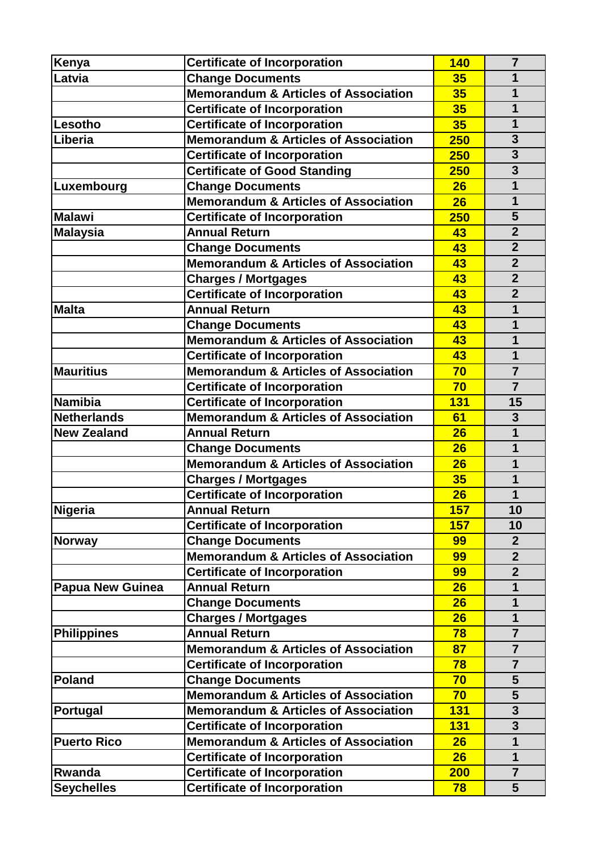| Kenya                   | <b>Certificate of Incorporation</b>                                        | <b>140</b> | $\overline{7}$                   |
|-------------------------|----------------------------------------------------------------------------|------------|----------------------------------|
| Latvia                  | <b>Change Documents</b>                                                    | 35         | 1                                |
|                         | <b>Memorandum &amp; Articles of Association</b>                            | 35         | 1                                |
|                         | <b>Certificate of Incorporation</b>                                        | 35         | 1                                |
| Lesotho                 | <b>Certificate of Incorporation</b>                                        | 35         | 1                                |
| Liberia                 | <b>Memorandum &amp; Articles of Association</b>                            | 250        | 3                                |
|                         | <b>Certificate of Incorporation</b>                                        | 250        | $\overline{\mathbf{3}}$          |
|                         | <b>Certificate of Good Standing</b>                                        | <b>250</b> | $\overline{\mathbf{3}}$          |
|                         |                                                                            | 26         | $\mathbf 1$                      |
| Luxembourg              | <b>Change Documents</b><br><b>Memorandum &amp; Articles of Association</b> | 26         | $\mathbf{1}$                     |
| <b>Malawi</b>           |                                                                            | 250        | 5                                |
|                         | <b>Certificate of Incorporation</b><br><b>Annual Return</b>                | 43         | $\overline{2}$                   |
| <b>Malaysia</b>         |                                                                            | 43         | $\overline{2}$                   |
|                         | <b>Change Documents</b><br><b>Memorandum &amp; Articles of Association</b> | 43         | $\overline{2}$                   |
|                         |                                                                            |            | $\overline{2}$                   |
|                         | <b>Charges / Mortgages</b>                                                 | 43<br>43   | $\overline{2}$                   |
| <b>Malta</b>            | <b>Certificate of Incorporation</b><br><b>Annual Return</b>                | 43         | 1                                |
|                         |                                                                            |            | 1                                |
|                         | <b>Change Documents</b><br><b>Memorandum &amp; Articles of Association</b> | 43         | 1                                |
|                         |                                                                            | 43         | 1                                |
|                         | <b>Certificate of Incorporation</b>                                        | 43         |                                  |
| <b>Mauritius</b>        | <b>Memorandum &amp; Articles of Association</b>                            | 70<br>70   | $\overline{7}$<br>$\overline{7}$ |
|                         | <b>Certificate of Incorporation</b>                                        |            |                                  |
| <b>Namibia</b>          | <b>Certificate of Incorporation</b>                                        | <b>131</b> | 15                               |
| <b>Netherlands</b>      | <b>Memorandum &amp; Articles of Association</b>                            | 61         | $\overline{\mathbf{3}}$          |
| <b>New Zealand</b>      | <b>Annual Return</b>                                                       | 26         | 1                                |
|                         | <b>Change Documents</b>                                                    | 26         | 1                                |
|                         | <b>Memorandum &amp; Articles of Association</b>                            | 26         | 1                                |
|                         | <b>Charges / Mortgages</b>                                                 | 35         | 1                                |
|                         | <b>Certificate of Incorporation</b>                                        | 26         | 1                                |
| Nigeria                 | <b>Annual Return</b>                                                       | 157        | 10                               |
|                         | <b>Certificate of Incorporation</b>                                        | 157        | 10                               |
| <b>Norway</b>           | <b>Change Documents</b>                                                    | 99         | $\overline{2}$                   |
|                         | <b>Memorandum &amp; Articles of Association</b>                            | 99         | $\overline{2}$                   |
|                         | <b>Certificate of Incorporation</b>                                        | 99         | $\overline{2}$                   |
| <b>Papua New Guinea</b> | <b>Annual Return</b>                                                       | 26         | 1                                |
|                         | <b>Change Documents</b>                                                    | 26         | 1                                |
|                         | <b>Charges / Mortgages</b>                                                 | 26         | 1                                |
| <b>Philippines</b>      | <b>Annual Return</b>                                                       | 78         | $\overline{7}$                   |
|                         | <b>Memorandum &amp; Articles of Association</b>                            | 87         | $\overline{7}$                   |
|                         | <b>Certificate of Incorporation</b>                                        | 78         | $\overline{7}$                   |
| <b>Poland</b>           | <b>Change Documents</b>                                                    | 70         | 5                                |
|                         | <b>Memorandum &amp; Articles of Association</b>                            | 70         | $\overline{\mathbf{5}}$          |
| Portugal                | <b>Memorandum &amp; Articles of Association</b>                            | <b>131</b> | 3                                |
|                         | <b>Certificate of Incorporation</b>                                        | <b>131</b> | 3                                |
| <b>Puerto Rico</b>      | <b>Memorandum &amp; Articles of Association</b>                            | 26         | 1                                |
|                         | <b>Certificate of Incorporation</b>                                        | 26         | 1                                |
| Rwanda                  | <b>Certificate of Incorporation</b>                                        | 200        | $\overline{7}$                   |
| <b>Seychelles</b>       | <b>Certificate of Incorporation</b>                                        | 78         | 5                                |